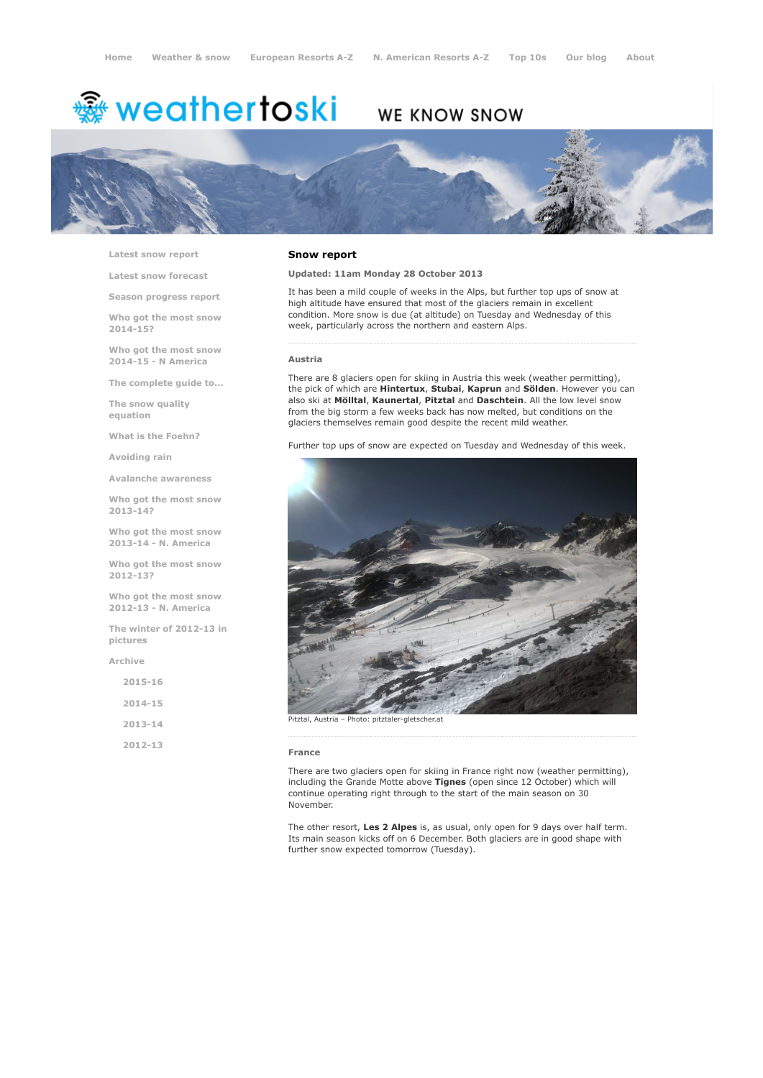# <del>鑾</del> weathertoski

## WE KNOW SNOW



Latest snow [report](http://www.weathertoski.co.uk/weather-snow/latest-snow-report/)

Latest snow [forecast](http://www.weathertoski.co.uk/weather-snow/latest-snow-forecast/)

Season [progress](http://www.weathertoski.co.uk/weather-snow/season-progress-report/) report

Who got the most snow 2014-15?

Who got the most snow 2014-15 - N America

The [complete](http://www.weathertoski.co.uk/weather-snow/the-complete-guide-to/) guide to...

The snow quality [equation](http://www.weathertoski.co.uk/weather-snow/the-snow-quality-equation/)

What is the [Foehn?](http://www.weathertoski.co.uk/weather-snow/what-is-the-foehn/)

[Avoiding](http://www.weathertoski.co.uk/weather-snow/avoiding-rain/) rain

Avalanche [awareness](http://www.weathertoski.co.uk/weather-snow/avalanche-awareness/)

Who got the most snow 2013-14?

Who got the most snow 2013-14 - N. America

Who got the most snow 2012-13?

Who got the most snow 2012-13 - N. America

The winter of 2012-13 in pictures

[Archive](http://www.weathertoski.co.uk/weather-snow/archive/)

| $2015 - 16$ |  |
|-------------|--|
| $2014 - 15$ |  |
| 2013-14     |  |
| 2012-13     |  |

### Snow report

Updated: 11am Monday 28 October 2013

It has been a mild couple of weeks in the Alps, but further top ups of snow at high altitude have ensured that most of the glaciers remain in excellent condition. More snow is due (at altitude) on Tuesday and Wednesday of this week, particularly across the northern and eastern Alps.

#### Austria

There are 8 glaciers open for skiing in Austria this week (weather permitting), the pick of which are Hintertux, Stubai, Kaprun and Sölden. However you can also ski at Mölltal, Kaunertal, Pitztal and Daschtein. All the low level snow from the big storm a few weeks back has now melted, but conditions on the glaciers themselves remain good despite the recent mild weather.

Further top ups of snow are expected on Tuesday and Wednesday of this week.



#### France

There are two glaciers open for skiing in France right now (weather permitting), including the Grande Motte above Tignes (open since 12 October) which will continue operating right through to the start of the main season on 30 November.

The other resort, Les 2 Alpes is, as usual, only open for 9 days over half term. Its main season kicks off on 6 December. Both glaciers are in good shape with further snow expected tomorrow (Tuesday).